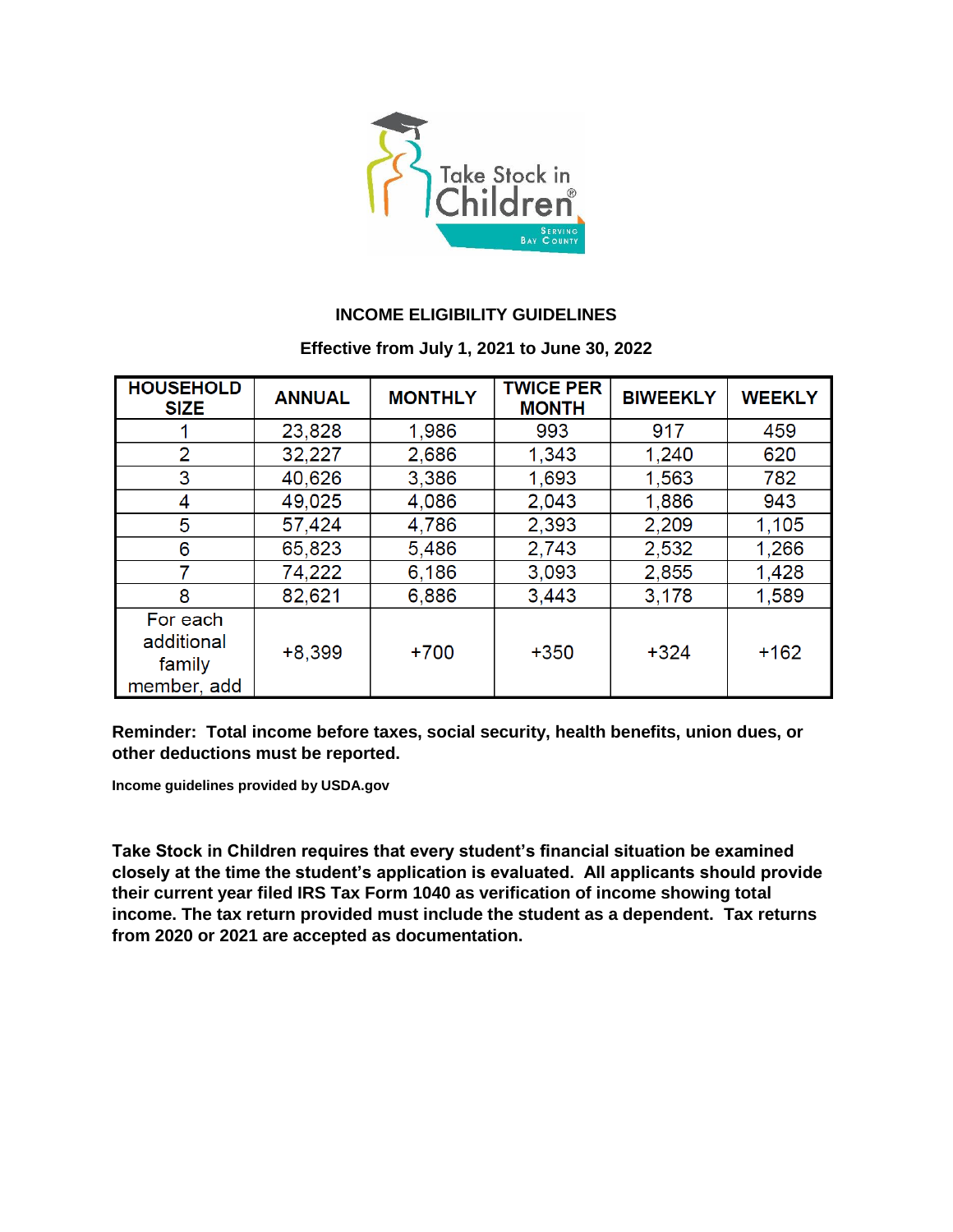

## **INCOME ELIGIBILITY GUIDELINES**

## **Effective from July 1, 2021 to June 30, 2022**

| <b>HOUSEHOLD</b><br><b>SIZE</b>                 | <b>ANNUAL</b> | <b>MONTHLY</b> | <b>TWICE PER</b><br><b>MONTH</b> | <b>BIWEEKLY</b> | <b>WEEKLY</b> |
|-------------------------------------------------|---------------|----------------|----------------------------------|-----------------|---------------|
|                                                 | 23,828        | 1,986          | 993                              | 917             | 459           |
| 2                                               | 32,227        | 2,686          | 1,343                            | 1,240           | 620           |
| 3                                               | 40,626        | 3,386          | 1,693                            | 1,563           | 782           |
| 4                                               | 49,025        | 4,086          | 2,043                            | 1,886           | 943           |
| 5                                               | 57,424        | 4,786          | 2,393                            | 2,209           | 1,105         |
| 6                                               | 65,823        | 5,486          | 2,743                            | 2,532           | 1,266         |
|                                                 | 74,222        | 6,186          | 3,093                            | 2,855           | 1,428         |
| 8                                               | 82,621        | 6,886          | 3,443                            | 3,178           | 1,589         |
| For each<br>additional<br>family<br>member, add | $+8,399$      | $+700$         | $+350$                           | $+324$          | $+162$        |

**Reminder: Total income before taxes, social security, health benefits, union dues, or other deductions must be reported.** 

**Income guidelines provided by USDA.gov**

**Take Stock in Children requires that every student's financial situation be examined closely at the time the student's application is evaluated. All applicants should provide their current year filed IRS Tax Form 1040 as verification of income showing total income. The tax return provided must include the student as a dependent. Tax returns from 2020 or 2021 are accepted as documentation.**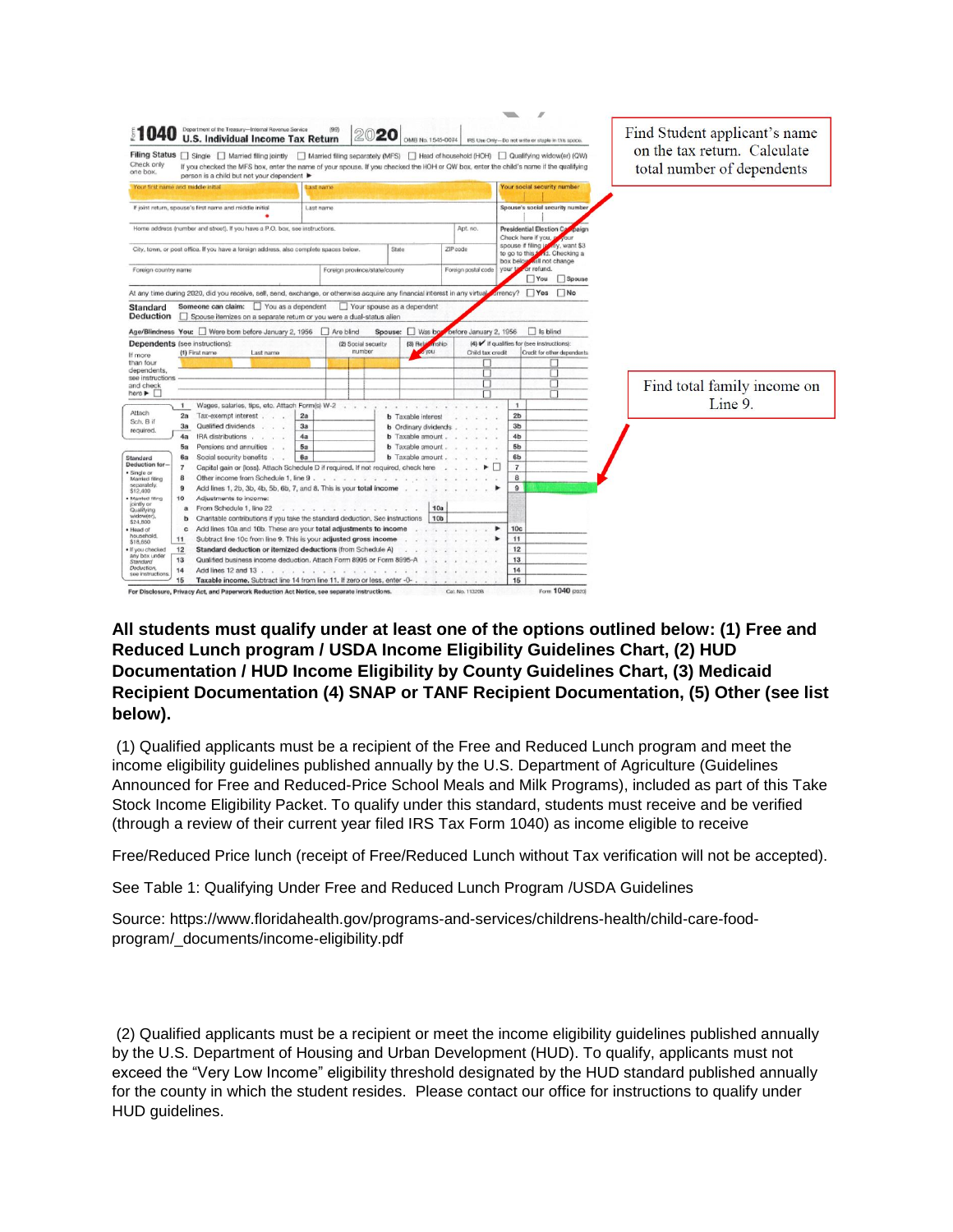|                                                                             |                                                                                                                                                                                     |                                                               |                                            |                                                    |                                                | $\overline{\phantom{a}}$ | $\overline{\mathcal{M}}$                                          |                             |
|-----------------------------------------------------------------------------|-------------------------------------------------------------------------------------------------------------------------------------------------------------------------------------|---------------------------------------------------------------|--------------------------------------------|----------------------------------------------------|------------------------------------------------|--------------------------|-------------------------------------------------------------------|-----------------------------|
|                                                                             | Department of the Treasury-Internal Revenue Service<br><b>U.S. Individual Income Tax Return</b>                                                                                     | Find Student applicant's name<br>on the tax return. Calculate |                                            |                                                    |                                                |                          |                                                                   |                             |
|                                                                             | Filing Status   Single   Married filing jointly   Married filing separately (MFS)   Head of household (HOH)   Qualifying widow(er) (QW)                                             |                                                               |                                            |                                                    |                                                |                          |                                                                   |                             |
| Check only<br>one box.                                                      | If you checked the MFS box, enter the name of your spouse. If you checked the HOH or QW box, enter the child's name if the qualifying<br>person is a child but not your dependent ▶ |                                                               |                                            |                                                    |                                                |                          |                                                                   | total number of dependents  |
| Your first name and middle initial                                          | Last name                                                                                                                                                                           |                                                               |                                            |                                                    |                                                |                          | Your social security number                                       |                             |
|                                                                             |                                                                                                                                                                                     |                                                               |                                            |                                                    |                                                |                          |                                                                   |                             |
| If joint return, spouse's first name and middle initial<br>Last name        |                                                                                                                                                                                     |                                                               |                                            |                                                    |                                                |                          | Spouse's social security number                                   |                             |
|                                                                             |                                                                                                                                                                                     |                                                               |                                            |                                                    |                                                |                          |                                                                   |                             |
| Home address (number and street). If you have a P.O. box, see instructions. |                                                                                                                                                                                     |                                                               |                                            |                                                    | Apt. no.                                       |                          | Presidential Election Ca<br>paign<br>Check here if you, g<br>VOUT |                             |
|                                                                             | City, town, or post office. If you have a foreign address, also complete spaces below.                                                                                              |                                                               | State                                      |                                                    | ZIP code                                       | spouse if filing is      | kdy, want \$3                                                     |                             |
|                                                                             |                                                                                                                                                                                     |                                                               |                                            |                                                    | nd. Checking a<br>to go to this *<br>box below |                          |                                                                   |                             |
| Foreign country name                                                        |                                                                                                                                                                                     |                                                               | Foreign province/state/county              |                                                    | Foreign postal code                            | vour ta                  | will not change<br>or refund.                                     |                             |
|                                                                             |                                                                                                                                                                                     |                                                               |                                            |                                                    |                                                |                          | Spouse<br>You                                                     |                             |
|                                                                             | At any time during 2020, did you receive, sell, send, exchange, or otherwise acquire any financial interest in any virtual                                                          |                                                               |                                            |                                                    |                                                | urrency?                 | $\Box$ Yes<br>$\Box$ No                                           |                             |
|                                                                             |                                                                                                                                                                                     |                                                               |                                            |                                                    |                                                |                          |                                                                   |                             |
| Standard<br><b>Deduction</b><br>П                                           | Someone can claim: Vou as a dependent<br>Spouse itemizes on a separate return or you were a dual-status alien                                                                       |                                                               | Your spouse as a dependent                 |                                                    |                                                |                          |                                                                   |                             |
|                                                                             |                                                                                                                                                                                     |                                                               |                                            |                                                    |                                                |                          |                                                                   |                             |
|                                                                             | Age/Blindness You: Were born before January 2, 1956   Are blind                                                                                                                     |                                                               |                                            | Spouse: Was bo                                     | before January 2, 1956                         |                          | Is blind                                                          |                             |
| Dependents (see instructions):                                              |                                                                                                                                                                                     |                                                               | (2) Social security                        | $(3)$ Rela<br>differe                              |                                                |                          | (4) / if qualifies for (see instructions):                        |                             |
| (1) First name<br>Last name<br>If more                                      |                                                                                                                                                                                     |                                                               | number<br><b>A</b> you<br>Child tax credit |                                                    |                                                |                          | Credit for other dependents.                                      |                             |
| than four<br>dependents,                                                    |                                                                                                                                                                                     |                                                               |                                            |                                                    |                                                |                          |                                                                   |                             |
| see instructions                                                            |                                                                                                                                                                                     |                                                               |                                            |                                                    |                                                |                          |                                                                   |                             |
| and check                                                                   |                                                                                                                                                                                     |                                                               |                                            |                                                    | □                                              |                          |                                                                   | Find total family income on |
| here $\blacktriangleright$                                                  |                                                                                                                                                                                     |                                                               |                                            |                                                    |                                                |                          |                                                                   |                             |
| $\mathbf{1}$<br>Attach                                                      | Wages, salaries, tips, etc. Attach Form(s) W-2                                                                                                                                      |                                                               |                                            |                                                    |                                                | 1                        |                                                                   | Line 9.                     |
| 2a<br>Sch. B if                                                             | Tax-exempt interest.                                                                                                                                                                | 2a                                                            |                                            | <b>b</b> Taxable interes                           |                                                | 2 <sub>b</sub>           |                                                                   |                             |
| 3a<br>required.                                                             | Qualified dividends                                                                                                                                                                 | 3a                                                            |                                            | <b>b</b> Ordinary dvidends                         |                                                | 3 <sub>b</sub>           |                                                                   |                             |
| 4a                                                                          | IRA distributions                                                                                                                                                                   | 4a<br>5a                                                      |                                            | <b>b</b> Taxable amount<br><b>b</b> Taxable amount |                                                | 4 <sub>b</sub><br>5b     |                                                                   |                             |
| 5a<br>6а                                                                    | Pensions and annuities<br>Social security benefits .                                                                                                                                | 6a                                                            |                                            | <b>b</b> Taxable amount                            |                                                | 6b                       |                                                                   |                             |
| Standard<br>Deduction for-<br>$\overline{7}$                                | Capital gain or (loss). Attach Schedule D if required. If not required, check here                                                                                                  |                                                               |                                            |                                                    |                                                | $\overline{7}$           |                                                                   |                             |
| Single or<br>8                                                              | Other income from Schedule 1, line 9                                                                                                                                                |                                                               |                                            |                                                    |                                                | 8                        |                                                                   |                             |
| Married filing<br>separately.<br>9                                          | Add lines 1, 2b, 3b, 4b, 5b, 6b, 7, and 8. This is your total income                                                                                                                |                                                               |                                            |                                                    |                                                | 9                        |                                                                   |                             |
| \$12,400<br>10<br>Married filing                                            | Adjustments to income:                                                                                                                                                              |                                                               |                                            |                                                    |                                                |                          |                                                                   |                             |
| jointly or<br>a<br>Qualifying                                               | From Schedule 1, line 22<br><b>W</b>                                                                                                                                                | <b>A A A A A A A A A A</b>                                    |                                            | 10a                                                |                                                |                          |                                                                   |                             |
| widow(er).<br>b                                                             | Charitable contributions if you take the standard deduction. See instructions                                                                                                       |                                                               |                                            |                                                    |                                                |                          |                                                                   |                             |
| \$24,800<br>c<br>Head of                                                    | Add lines 10a and 10b. These are your total adjustments to income                                                                                                                   |                                                               |                                            | 10 <sub>b</sub>                                    |                                                | 10 <sub>c</sub>          |                                                                   |                             |
| household.<br>11<br>\$18,650                                                | Subtract line 10c from line 9. This is your adjusted gross income                                                                                                                   |                                                               |                                            |                                                    |                                                | 11                       |                                                                   |                             |
| $12$<br>If you checked                                                      | Standard deduction or itemized deductions (from Schedule A)                                                                                                                         |                                                               |                                            |                                                    |                                                |                          |                                                                   |                             |
| any box under<br>13<br>Standard                                             | Qualified business income deduction. Attach Form 8995 or Form 8995-A                                                                                                                |                                                               |                                            |                                                    | 13                                             |                          |                                                                   |                             |
| Deduction,<br>14<br>see instructions.                                       | Add lines 12 and 13.<br>the company's company's company's and                                                                                                                       |                                                               |                                            |                                                    |                                                |                          |                                                                   |                             |
| 15                                                                          | Taxable income. Subtract line 14 from line 11, If zero or less, enter -0-<br>15                                                                                                     |                                                               |                                            |                                                    |                                                |                          |                                                                   |                             |
| For Disclosure.                                                             | Privacy Act, and Paperwork Reduction Act Notice, see separate instructions.                                                                                                         |                                                               |                                            |                                                    | Cat. No. 11320B                                |                          | Form 1040 (2020)                                                  |                             |

## **All students must qualify under at least one of the options outlined below: (1) Free and Reduced Lunch program / USDA Income Eligibility Guidelines Chart, (2) HUD Documentation / HUD Income Eligibility by County Guidelines Chart, (3) Medicaid Recipient Documentation (4) SNAP or TANF Recipient Documentation, (5) Other (see list below).**

(1) Qualified applicants must be a recipient of the Free and Reduced Lunch program and meet the income eligibility guidelines published annually by the U.S. Department of Agriculture (Guidelines Announced for Free and Reduced-Price School Meals and Milk Programs), included as part of this Take Stock Income Eligibility Packet. To qualify under this standard, students must receive and be verified (through a review of their current year filed IRS Tax Form 1040) as income eligible to receive

Free/Reduced Price lunch (receipt of Free/Reduced Lunch without Tax verification will not be accepted).

See Table 1: Qualifying Under Free and Reduced Lunch Program /USDA Guidelines

Source: https://www.floridahealth.gov/programs-and-services/childrens-health/child-care-foodprogram/\_documents/income-eligibility.pdf

(2) Qualified applicants must be a recipient or meet the income eligibility guidelines published annually by the U.S. Department of Housing and Urban Development (HUD). To qualify, applicants must not exceed the "Very Low Income" eligibility threshold designated by the HUD standard published annually for the county in which the student resides. Please contact our office for instructions to qualify under HUD guidelines.